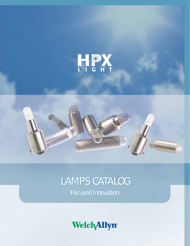



# LAMPS CATALOG

Focused Innovation.

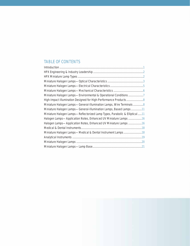# TABLE OF CONTENTS

| Miniature Halogen Lamps-Environmental & Operational Conditions7            |  |
|----------------------------------------------------------------------------|--|
| High-Impact Illumination Designed for High-Performance Products8           |  |
| Miniature Halogen Lamps-General-Illumination Lamps, Wire Terminals8        |  |
| Miniature Halogen Lamps—General-Illumination Lamps, Based Lamps11          |  |
| Miniature Halogen Lamps-Reflectorized Lamp Types, Parabolic & Elliptical11 |  |
| Halogen Lamps-Application Notes, Enhanced UV Miniature Lamps 16            |  |
| Halogen Lamps-Application Notes, Enhanced UV Miniature Lamps 16            |  |
|                                                                            |  |
| Miniature Halogen Lamps-Medical & Dental Instrument Lamps18                |  |
|                                                                            |  |
|                                                                            |  |
|                                                                            |  |

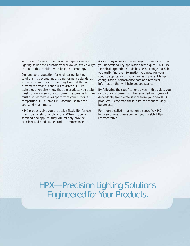With over 80 years of delivering high-performance lighting solutions to customers worldwide, Welch Allyn continues this tradition with its HPX technology.

Our enviable reputation for engineering lighting solutions that exceed industry performance standards, while providing the consistent light output that our customers demand, continues to drive our HPX technology. We also know that the products you design must not only meet your customers' requirements, they must also set themselves apart from your customers' competition. HPX lamps will accomplish this for you...and much more.

HPX products give you the design flexibility for use in a wide variety of applications. When properly specified and applied, they will reliably provide excellent and predictable product performance.

As with any advanced technology, it is important that you understand key application techniques. This HPX Technical Operation Guide has been arranged to help you easily find the information you need for your specific application. It summarizes important lamp configuration, performance data and technical information that will help get you started.

By following the specifications given in this guide, you (and your customers) will be rewarded with years of dependable, troublefree service from your new HPX products. Please read these instructions thoroughly before use.

For more detailed information on specific HPX lamp solutions, please contact your Welch Allyn representative.

HPX—Precision Lighting Solutions Engineered for Your Products.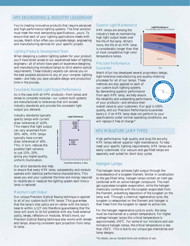## HPX ENGINEERING & INDUSTRY LEADERSHIP

You're creating innovative products that require advanced and high-performance lighting systems. The final solution must meet the most demanding specifications...yours. To ensure that each of your lighting applications meets with success, Welch Allyn offers you complete design, engineering and manufacturing services for your specific project.

#### Lighting Products Development Team

When designing a custom lighting system for your product, you'll have direct access to our experienced team of lighting engineers—all of whom have years of experience designing and manufacturing miniature lamps to strict electro-optical requirements. These industry experts can advise you on the best possible solutions to any of your complex lighting needs—and help you save valuable design and production time in the process.

#### Consistent, Reliable Light Output Performance

As is the case with all HPX products—from lamps and lenses to complete modules—our custom-built systems are manufactured to tolerances that will exceed industry standards and provide the consistent light output you demand.

Industry standards typically specify lamps with current draw tolerances of  $\pm 10\%$ . This means that light output can vary anywhere from 30%–40%. HPX lamps typically have current draw tolerances of ±5%. This, in turn, reduces the possible light variance to just 15%–20%, giving you higher-quality, uniform illumination.

![](_page_3_Picture_7.jpeg)

#### Our strict standards also help

to ensure that every HPX lamp, subassembly and module operate with identical performance characteristics. This saves you and your customer the time and money required to recalibrate or readjust the lighting system each time a lamp is replaced.

#### Maximum Light Output

Our unique Precision Optical Basing technique is applied to all of our custom-built HPX lamps. This guarantees that the lamp's vital optics are on center with the lamp's base to within  $\pm$ .127 mm therefore guaranteeing that the lamp will work to its full potential with any fixed external optics, lenses, reflectors or modules. What's more, our Precision Optical Basing technique also works with lensedend lamps, ensuring consistent spot projection from lamp to lamp.

#### Superior Light Maintenance

HPX lamps are among the industry's best at maintaining high light output levels over the life of the lamp. What's more, the life of an HPX lamp is considerably longer than that of most competitive high color temperature lamps.

#### Precision Performance **Guarantee**

Welch Allyn has developed several proprietary design, tight-tolerance manufacturing and quality-checking

Initial light output (spherical candlepower)

Initial light

candlepower)

processes for all of our lamps. These methods are also applied to each of our custom-built lighting systems. By demanding superior performance from each HPX lamp, we help ensure the reliability and outstanding performance of your products—and enhance their

#### **P R<sup>E</sup>C<sup>I</sup>S<sup>I</sup>O<sup>N</sup> <sup>P</sup>ERFOR<sup>M</sup> A NCE** <u>රිව</u> **<sup>E</sup><sup>T</sup> <sup>N</sup>AR<sup>A</sup> E**

**Light Maintenance**<br>% of initial light output at 70% of r

Halogen

Gas

Vacuum

Time

t output at 70% of rated life

overall value to your customers. Our goal is 100% quality, and our Precision Performance Guarantee backs it: if an HPX lamp does not perform to your specifications under normal operating conditions, we will replace it free of charge.\*

## HPX MINIATURE LAMP TYPES HPX MINIATURE LAMP TYPES

High performance, high quality and long life are why HPX lamps deliver superior light maintenance. To help meet your specific lighting requirements, HPX lamps are easily customized. Our vacuum and gas-filled lamps are especially well suited for short duty cycles.

## Halogen Lamps

The halogen lamp achieves light output through the incandescence of a tungsten filament. Similar in construction to the gas-filled lamp, halogen lamps contain an inert gas combined with an active halogen compound. The inert gas suppresses tungsten evaporation, while the halogen chemically combines with the tungsten evaporated from the filament, preventing deposition of the tungsten on the lamp wall. Through a chemical regenerative cycle, the tungsten is redeposited on the filament and halogen is then freed from the tungsten to repeat its active role.

For the halogen regenerative cycle to work, the lamp must be maintained at a certain temperature. For higher wattage halogen lamps this critical temperature is approximately 250˚C. For some of our miniature and subminiature halogen lamps, the critical temperature is less than 250˚C. This is due to our unique gas chemistries and lamp designs.

\*For details, see our standard terms and conditions of sale.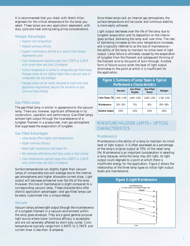It is recommended that you check with Welch Allyn engineers for the critical temperature for the lamp you select. These lamps are very application dependent, with duty cycle and heat sinking being prime considerations.

#### Halogen Advantages

- Highest color temperature
- Highest luminous efficacy
- Superior maintenance and life as a result of the halogen regenerative cycle
- Color temperatures typically range from 2,700˚K to 3,350˚K with current draw less than 3.0 amperes
- Surface temperature is similar to comparable gas-filled lamps (halogen lamps do run slightly higher than a vacuum lamp of comparable size and wattage)
- Halogen lamps can be readily designed to meet most lamp application requirements (despite the limitation on duty cycle and heat sinking)

#### Gas-Filled Lamps

The gas-filled lamp is similar in appearance to the vacuum lamp. There are, however, significant differences in its construction, operation and performance. Gas-filled lamps achieve light output through the incandescence of a tungsten filament in a pressurized, inert gas atmosphere that suppresses the evaporation of tungsten.

#### Gas-Filled Advantages

- Lamp design offers higher color temperatures
- Higher luminous efficacy
- Better light maintenance and longer life
- Not adversely affected by short duty cycles or heat sinking
- Color temperatures typically range from 2,600˚K to 3,200˚K, with current draw less than 2.0 amperes

Surface temperatures run slightly higher than vacuum lamps of comparable size and wattage due to the internal gas atmospheres and higher allowable current draw. Light output will decrease somewhat over the life of the lamp. However, this loss of maintenance is slight compared to a corresponding vacuum lamp. These characteristics offer distinct application advantages—and gas-filled lamps can be easily customized into a unique design.

#### Vacuum

Vacuum lamps achieve light output through the incandescence of a tungsten filament in a vacuum environment within the lamp glass envelope. They are a good general-purpose light source where lower luminous efficacy is acceptable and are not adversely affected by short duty cycles. Color temperatures typically range from 2,400˚K to 2,700˚K and current draw is less than .8 amperes.

Since these lamps lack an internal gas atmosphere, the surface temperature will be cooler and luminous stability is more easily achieved.

Light output decreases over the life of the lamp due to tungsten evaporation and its deposition on the interior glass surface, darkening the lamp wall over time. The rate of darkening increases as the color temperature increases, and is typically referred to as the loss of maintenance the ability of the lamp to maintain its initial level of light output. Lamp failure is ultimately caused by the evaporation of tungsten from the filament and subsequent thinning of the filament wire to the point of burn through. Another form of failure occurs when the level of light output diminishes to the point at which it is insufficient for the application.

## **Figure 1: Summary of Lamp Types & Typical Performance Characteristics**

|                               | Vacuum        | <b>Gas-Filled</b><br>Krypton | Gas-Filled<br>Xenon | Halogen     |
|-------------------------------|---------------|------------------------------|---------------------|-------------|
| Color Temp. $(K)$ 2,400-2,700 |               | $2.600 - 3.200$              | $2,600 - 3,200$     | 2,700-3,350 |
| Maintenance                   | $30\% - 50\%$ | 75%                          | 85%                 | 85%-98%     |
| <b>Relative Output</b>        | 100%          | 120%                         | 150%                | 200%        |

## MINIATURE HALOGEN LAMPS-OPTICAL CHARACTERISTICS CHARACTERISTICS

#### **Maintenance**

Maintenance is the ability of a lamp to maintain its initial level of light output. It is often expressed as a percentage of the lamp's original output at 70% of the rated lamp life. Maintenance is an important consideration in selecting a lamp because, while the lamp may still light, its light output could degrade to a point at which there is insufficient energy for the application. Figure 2 shows the relationship of the three lamp types to initial light output levels and maintenance.

![](_page_4_Figure_26.jpeg)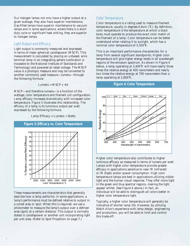Our halogen lamps not only have a higher output at a given wattage, they also have superior maintenance. Gas-filled lamps have superior maintenance to vacuum lamps and in some applications, where there is a short duty cycle or significant heat sinking, they are superior to halogen lamps.

#### Light Output and Efficacy

Light output is commonly measured and expressed in terms of mean spherical candlepower (MSCP). This measurement is calculated by placing an unbased, wire terminal lamp in an integrating sphere (calibration is traceable to the National Institute of Standards and Technology) and powered at rated voltage. The MSCP value is a photopic measure and may be converted to another commonly used measure—lumens—through the following formula:

Lumens =  $MSCP \times 4\pi$ 

MSCP—and therefore lumens—is a function of the wattage, color temperature and filament coil configuration. Lamp efficacy increases dramatically with increased color temperature. Figure 3 illustrates this relationship. The efficacy of a lamp is its luminous output per watt expressed by the following formula:

Lamp Efficacy = Lumens ÷ Watts

![](_page_5_Figure_6.jpeg)

These measurements are characteristics that generally describe how a lamp performs. In some applications, a lamp's performance must be defined relative to output in a coned area or spot. When this is required, we use a photometer to measure the lamp's output over a defined area (spot) at a certain distance. This output is normally stated in candlepower or another unit incorporating light per unit area. (Refer to Spot Projection on page 7.)

#### Color Temperature

Color temperature is a rating used to measure filament temperature, usually in degrees Kelvin (˚K). By definition, color temperature is the temperature at which a black body must operate to produce the exact color match of the filament of a lamp. Color temperature can be better understood when relating it to sunlight, which has a nominal color temperature of 5,500˚K.

This is an important performance characteristic for a lamp from several significant standpoints. Higher color temperature will give higher energy levels in all wavelength regions of the emission spectrum. As shown in Figure 4 below, a lamp operating at 3,400˚K will have nearly three times the relative energy at 400 nanometers and nearly two times the relative energy at 700 nanometers than a lamp operating at 2,800˚K.

**Figure 4: Color Temperature**

![](_page_5_Figure_11.jpeg)

Higher color temperature also contributes to higher luminous efficacy as measured in terms of lumens per watt. Lamps with higher color temperature provide greater efficacy in applications sensitive to near IR (infrared) or IR (heat) and/or power consumption. High color temperature lamps are best in applications utilizing visible light and the human visual response. They offer more light in the green and blue spectral regions, making the light appear whiter. (See Figure 4 above.) In fact, an individual will be able to distinguish all colors better in higher color temperature light.

Typically, a higher color temperature will generally be indicative of shorter lamp life. However, by utilizing Welch Allyn's experience with lamp design, engineering and production, you will be able to limit and control this trade-off.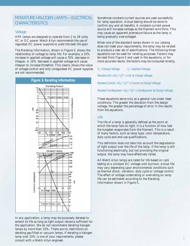## MINIATURE HALOGEN LAMPS-ELECTRICAL CHARACTERISTICS CHARACTERISTICS

#### Voltage

HPX lamps are designed to operate from 2 to 28 volts, AC or DC power. Welch Allyn recommends the use of regulated DC power supplies to yield the best life span.

The Rerating Information, shown in Figure 5, shows the relationship of voltage to lamp life. For example, a 10% increase in applied voltage will cause a 70% decrease in lifespan. A 10% decrease in applied voltage will cause lifespan to increase threefold. This clearly shows the value of voltage control and why unregulated AC power supplies are not recommended.

![](_page_6_Figure_4.jpeg)

In any application, a lamp may be purposely derated to extend its life as long as light output remains sufficient for the application. We do not recommend derating halogen lamps by more than 10%. There are no restrictions on derating gas-filled or vacuum lamps. If derating a halogen lamp over 10% is one of your requirements, please consult with a Welch Allyn engineer.

Sometimes constant-current sources are used successfully for lamp operation. Actual testing should be done to confirm any and all benefits. A constant-current power source will increase voltage as the filament wire thins. This may cause an apparent premature failure as the lamp is being gradually overvoltaged.

When one of the standard lamps shown in our catalog does not meet your requirements, the lamp may be rerated to produce a new set of specifications. The following three equations can be used for rerating purposes. Factors may be read from Figure 5 and used in the equations, or for more accurate results, the factors may be computed directly.

 $V_a$  = Design Voltage  $V_a$  = Applied Voltage

Rerated Life =  $[V_d / V_a]^{120}$  x Life at Design Voltage

Rerated Current =  $[V_d / V_d]^{0.55}$  x Current at Design Voltage

Rerated Candlepower =  $[V_d / V_d]^{3.5}$  x Candlepower at Design Voltage

These equations serve only as a general rule under ideal conditions. The greater the deviation from the design voltage, the greater the percentage of error in the results from the equations.

#### Life

The life of a lamp is generally defined as the point at which the lamp fails to light. It is a function of how fast the tungsten evaporates from the filament. This is a result of many factors, such as lamp type, color temperature, duty cycle and end-use qualifications.

This definition does not take into account the degradation of light output over the life of the lamp. If the lamp is still functioning electrically, but not providing the original output, the lamp may have effectively failed.

All Welch Allyn lamps are rated for life based on rack testing at a constant DC voltage until burnout. Actual life may vary depending upon environmental conditions such as thermal shock, vibration, duty cycle or voltage control. The effect of voltage underrating or overrating on lamp life can be estimated according to the Rerating Information shown in Figure 5.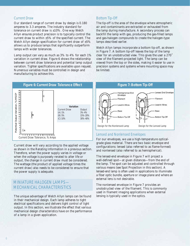#### Current Draw

Our standard range of current draw by design is 0.180 amperes to 3.3 amperes. The industry standard for tolerance on current draw is  $\pm 10\%$ . One way Welch Allyn ensures product precision is to typically control the current draw to within ±5% of the specified current. The Welch Allyn design specification for current draw of  $\pm 5\%$ allows us to produce lamps that significantly outperform lamps with wider tolerances.

Lamp output can vary as much as 3% to 4% for each 1% variation in current draw. Figure 6 shows the relationship between current draw tolerance and potential lamp output variation. Tighter specifications are available upon request. Numerous variables must be controlled in design and manufacturing to achieve this.

![](_page_7_Figure_3.jpeg)

Current draw will vary according to the applied voltage as shown in the Rerating Information in a previous section. Therefore, when the power supply varies in voltage or when the voltage is purposely rerated to alter life or output, the change in current draw must be considered. The wattage (the product of applied voltage times the current draw) also needs to be considered to ensure that the power supply is adequate.

# MINIATURE HALOGEN LAMPS— MECHANICAL CHARACTERISTICS MECHANICAL CHARACTERISTICS

The unique advantage of Welch Allyn lamps can be found in their mechanical design. Each lamp adheres to tight electrical specifications and delivers tight control of light output. In this section, we illustrate the effect that various mechanical design characteristics have on the performance of a lamp in a given application.

#### Bottom Tip-Off

The tip-off is the area of the envelope where atmospheric air and contaminants are extracted or exhausted from the lamp during manufacture. A secondary process can backfill the lamp with gas, producing the gas-filled lamps and gas-halogen compounds to create the halogen-type lamps described earlier.

Welch Allyn lamps incorporate a bottom tip-off, as shown in Figure 7. A bottom tip-off leaves the top of the lamp clear for an unobstructed view. This gives the user a 270˚ view of the filament-projected light. The lamp can be viewed from the top or the sides, making it easier to use in precision systems and systems where mounting space may be limited.

![](_page_7_Figure_10.jpeg)

#### **Figure 7: Bottom Tip-Off**

#### Lensed and Nonlensed Envelopes

For our envelopes, we use a high-temperature opticalgrade glass material. There are two basic envelope end configurations: lensed (also referred to as flame-formed) and nonlensed (also referred to as hemispherical).

The lensed-end envelope in Figure 7 will project a well-defined spot—at given distances—from the end of the lamp. The spot can be adjusted and controlled through various means (see Spot Projection in this section). A lensed-end lamp is often used in applications to illuminate a fiber optic bundle, aperture or image plane and where an external lens is not desirable.

The nonlensed envelope in Figure 7 provides an unobstructed view of the filament. This is commonly used in filament imaging applications when external lensing is typically used in the optics.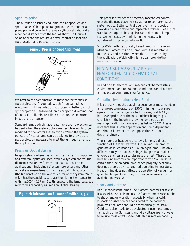#### Spot Projection

The output of a lensed-end lamp can be specified as a spot (diameter) in a plane tangent to the lens and/or a plane perpendicular to the lamp's cylindrical axis, and at a defined distance from the lens as shown in Figure 8. Some applications require a better control of spot size, spot location and output intensity.

![](_page_8_Figure_2.jpeg)

We refer to the combination of these characteristics as spot projection. If required, Welch Allyn can utilize equipment in its manufacturing process to better control spot projection. Lensed-end lamps project a diverging spot often used to illuminate a fiber optic bundle, aperture, image plane or sensor.

Standard lamps which have reasonable spot projection can be used when the system optics are flexible enough to be modified to the lamp's specifications. When the system optics are fixed, a lamp can be designed to provide the spot projection necessary to meet the full requirements of the application.

#### Precision Optical Basing

In applications where imaging of the filament is important and external optics are used, Welch Allyn can control the filament position by filament optical basing. These applications—including reflectors, projectors and other optical systems—demand that the actual light source (the filament) be on the optical center of the system. Welch Allyn has the capability to place the filament on center to within  $\pm 0.005$ " (.127 mm) with respect to the lamp base. We refer to this capability as Precision Optical Basing.

#### **Figure 9: Tolerance on Filament Position (x, y, z)**

![](_page_8_Figure_8.jpeg)

This process provides the necessary mechanical control over the filament placement so as not to compromise the system optics. Better control over the filament position provides a more precise and repeatable system. (See Figure 9.) Filament optical basing also can reduce total lamp replacement costs by minimizing the necessity for adjustment or technical intervention.

Since Welch Allyn's optically based lamps will have an identical filament position, lamp output is repeatable in intensity and position. When this is demanded by the application, Welch Allyn lamps can provide the necessary precision.

## MINIATURE HALOGEN LAMPS-ENVIRONMENTAL & OPERATIONAL ENVIRONMENTAL & OPERATIONAL CONDITIONS CONDITIONS

In addition to electrical and mechanical characteristics, environmental and operational conditions can also have an impact on your lamp's performance.

#### Operating Temperature / Heat Sinking

It is generally thought that all halogen lamps must maintain an envelope temperature of 250˚C minimum to ensure operation of the halogen cycle. However, Welch Allyn has developed one of the most efficient halogen gas chemistry in the industry, allowing lamp operation in many applications at temperatures below 250˚C. Please note that this is both application and lamp dependent and should be evaluated per application with our design engineers.

The amount of heat generated by a lamp is a direct function of the lamp wattage. A 6 W vacuum lamp will generate as much heat as a 6 W halogen lamp. The only difference may be that the halogen lamp has a smaller envelope and less area to dissipate the heat. Therefore, heat sinking becomes an important factor. You must be certain that the halogen lamp, when properly heat sunk, does not drop below its required operating temperature. Heat sinking does not affect the operation of vacuum or gas-filled lamps. As always, our design engineers are available to assist you.

#### Shock and Vibration

In all incandescent lamps, the filament becomes brittle as it ages with use. This makes the filament more susceptible to shock and/or vibration, especially when it's cold. If shock or vibration are considered to be potential problems, the lamp should be mechanically isolated. Cold start also needs to be evaluated, since most lamps fail at this time. Soft starts and idle voltage are two ways to reduce these effects. (See In-Rush Current on page 8.)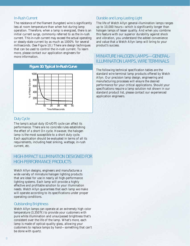#### In-Rush Current

The resistance of the filament (tungsten) wire is significantly less at room temperature than when hot during lamp operation. Therefore, when a lamp is energized, there is an initial current surge, commonly referred to as the in-rush current. This in-rush current may exceed the actual operating or steady-state current by as much as 1000% for several milliseconds. (See Figure 10.) There are design techniques that can be used to control the in-rush current. To learn more, please contact our application engineers for more information.

#### **Figure 10: Typical In-Rush Curve**

![](_page_9_Figure_3.jpeg)

#### Duty Cycle

The lamp's actual duty (On/Off) cycle can affect its performance. There are no concrete rules establishing the effect of a short On cycle. However, the halogen lamp is the most susceptible to a short duty cycle. Each application should be evaluated in terms of all its requirements, including heat sinking, wattage, in-rush current, etc.

# HIGH IMPACT ILLUMINATION DESIGNED FOR HIGH-IMPACT ILLUMINATION DESIGNED FOR HIGH-PERFORMANCE PRODUCTS. HIGH-PERFORMANCE PRODUCTS

Welch Allyn designs, engineers and manufactures a wide variety of miniature halogen lighting products that are ideal for use in nearly all high-performance lighting systems. Each lamp will provide a highly effective and profitable solution to your illumination needs. Welch Allyn guarantees that each lamp we make will operate according to its specifications under proper operating conditions.

#### Outstanding Brightness

Welch Allyn lamps can operate at an extremely high color temperature (3,350˚K) to provide your customers with pure white illumination and unsurpassed brightness that's consistent over the life of the lamp. What's more, each lamp is made of optical-quality glass, allowing your customers to replace lamps by hand—something that can't be done with quartz.

#### Durable and Long-Lasting Light

The life of Welch Allyn general-illumination lamps ranges up to 10,000 hours—which is significantly longer than halogen lamps of lesser quality. And when you combine this feature with our superior durability against shock and vibration, you understand the added convenience and value that a Welch Allyn lamp will bring to your product's success.

# MINIATURE HALOGEN LAMPS—GENERAL-ILLUMINATION LAMPS, WIRE TERMINALS

The following technical specification tables are the standard wire terminal lamp products offered by Welch Allyn. Our precision lamp design, engineering and manufacturing processes will ensure the desired performance for your critical applications. Should your specifications require a lamp solution not shown in our standard product list, please contact our experienced application engineers.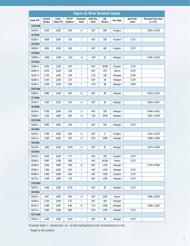| <b>Figure 11: Wire Terminal Lamps</b> |                   |                    |                         |                          |                         |                 |          |                                |                                      |  |
|---------------------------------------|-------------------|--------------------|-------------------------|--------------------------|-------------------------|-----------------|----------|--------------------------------|--------------------------------------|--|
| Lamp P/N                              | Current<br>(Amps) | Color<br>Temp (°K) | <b>MSCP</b><br>(Approx) | Envelope<br><b>Style</b> | <b>Bulb Dia</b><br>(mm) | Life<br>(Hours) | Gas Type | Spot Size <sup>1</sup><br>(mm) | Filament Size (mm)<br>$(L \times W)$ |  |
| 2.25 Volts                            |                   |                    |                         |                          |                         |                 |          |                                |                                      |  |
| 01270-U                               | 0.429             | 2,900              | 0.43                    | nl                       | 4.67                    | 650             | Krypton  |                                | $0.610 \times 0.229$                 |  |
| 2.5 Volts                             |                   |                    |                         |                          |                         |                 |          |                                |                                      |  |
| 01265-U                               | 0.600             | 3,025              | 1.00                    | $\overline{\phantom{a}}$ | 4.67                    | 230             | Krypton  | 3.175                          |                                      |  |
| 2.6 Volts                             |                   |                    |                         |                          |                         |                 |          |                                |                                      |  |
| 01098-U                               | 0.850             | 3,100              | 1.63                    | $\overline{1}$           | 4.67                    | 400             | Krypton  | 3.175                          |                                      |  |
| 2.8 Volts                             |                   |                    |                         |                          |                         |                 |          |                                |                                      |  |
| 01080-U                               | 0.850             | 3,300              | 2.63                    | nl                       | 4.67                    | 15              | Halogen  |                                | $0.762 \times 0.254$                 |  |
| 3.5 Volts                             |                   |                    |                         |                          |                         |                 |          |                                |                                      |  |
| 01264-U                               | 0.435             | 2,330              | 0.47                    | $\overline{\phantom{a}}$ | 4.67                    | 10,000          | Krypton  | 3.175                          |                                      |  |
| 01297-U                               | 0.575             | 3,120              | 1.90                    | $\mathbf{I}$             | 4.67                    | 475             | Xenon    | 3.175                          |                                      |  |
| 01227-U                               | 0.720             | 3,250              | 2.90                    | $\overline{\phantom{a}}$ | 3.78                    | 100             | Halogen  | 2.540                          |                                      |  |
| 01260-U                               | 0.720             | 3,250              | 2.70                    | $\overline{\phantom{a}}$ | 4.67                    | 20              | Halogen  | 3.175                          |                                      |  |
| 01302-U                               | 0.740             | 3,270              | 3.20                    | $\mathbf{I}$             | 3.78                    | 80              | Halogen  | 2.540                          |                                      |  |
| 3.65 Volts                            |                   |                    |                         |                          |                         |                 |          |                                |                                      |  |
| 01084-U                               | 0.980             | 3,240              | 4.00                    | nl                       | 4.67                    | 45              | Halogen  |                                | $0.813 \times 0.432$                 |  |
| 3.7 Volts                             |                   |                    |                         |                          |                         |                 |          |                                |                                      |  |
| 01143-U                               | 1.020             | 3,315              | 5.10                    | nl                       | 4.67                    | 10              | Halogen  |                                | $0.610 \times 0.457$                 |  |
| 4.0 Volts                             |                   |                    |                         |                          |                         |                 |          |                                |                                      |  |
| 01145-U                               | 0.750             | 3,050              | 3.10                    | nl                       | 4.67                    | 150             | Halogen  |                                | 0.940 x 0.432                        |  |
| 01269-U                               | 1.200             | 2,800              | 3.60                    | nl                       | 7.10                    | 3,500           | Halogen  |                                | 1.651 x 0.559                        |  |
| 4.25 Volts                            |                   |                    |                         |                          |                         |                 |          |                                |                                      |  |
| 01063-U<br>4.5 Volts                  | 0.940             | 3,050              | 3.40                    | $\mathbf{I}$             | 4.67                    | 150             | Halogen  | 3.175                          |                                      |  |
| 01253-U                               | 0.790             | 3,250              | 6.00                    | nl                       | 4.67                    | 9               | Krypton  |                                | 1.067 x 0.254                        |  |
| 01221-U                               | 1.020             | 2,825              | 3.00                    | nl                       | 6.10                    | 3,900           | Halogen  |                                | 1.829 x 0.559                        |  |
| 4.8 Volts                             |                   |                    |                         |                          |                         |                 |          |                                |                                      |  |
| 01119-U                               | 1.620             | 3,250              | 10.70                   | nl                       | 4.67                    | 22              | Halogen  |                                | 1.473 x 0.508                        |  |
| 5.0 Volts                             |                   |                    |                         |                          |                         |                 |          |                                |                                      |  |
| 01163-U                               | 0.500             | 3,035              | 2.77                    | $\mathsf{I}$             | 4.67                    | 200             | Krypton  | 3.175                          |                                      |  |
| 01300-U                               | 0.967             | 2,785              | 3.80                    | $\mathbf{I}$             | 4.67                    | 14,000          | Xenon    | 3.175                          |                                      |  |
| 01294-U                               | 1.000             | 3,050              | 4.90                    | nl                       | 4.67                    | 1,200           | Halogen  |                                | 1.473 x 0.584                        |  |
| 01252-U                               | 1.350             | 2,800              | 5.97                    | $\mathbf{I}$             | 4.67                    | 1,500           | Halogen  | 3.175                          |                                      |  |
| 01296-U                               | 1.400             | 2,840              | 6.00                    | $\mathbf{I}$             | 4.67                    | 1,500           | Krypton  | 3.175                          |                                      |  |
| 01175-U                               | 1.435             | 2,960              | 7.23                    | $\mathsf{I}$             | 4.67                    | 1,500           | Halogen  | 3.175                          |                                      |  |
| 5.75 Volts                            |                   |                    |                         |                          |                         |                 |          |                                |                                      |  |
| 01075-U                               | 1.440             | 3,335              | 12.70                   | $\mathbf{I}$             | 4.67                    | 35              | Halogen  | 3.175                          |                                      |  |
| 6.0 Volts                             |                   |                    |                         |                          |                         |                 |          |                                |                                      |  |
| 01267-U                               | 0.64              | 3,050              | 4.50                    | nl                       | 4.67                    | 1,000           | Xenon    |                                | 1.981 x 0.254                        |  |
| 01293-U                               | 0.720             | 3,250              | 5.75                    | $\mathbf{I}$             | 4.67                    | 100             | Halogen  |                                |                                      |  |
| 01272-U                               | 1.690             | 2,875              | 9.40                    | nl                       | 7.10                    | 2,500           | Halogen  |                                | 1.930 x 1.092                        |  |
| 01127-U                               | 1.800             | 2,920              | 9.60                    | $\mathsf{I}$             | 6.10                    | 1,200           | Halogen  | 5.715                          |                                      |  |
| 6.27 Volts                            |                   |                    |                         |                          |                         |                 |          |                                |                                      |  |
| 01152-U                               | 1.440             | 3,335              | 14.70                   | $\mathbf{I}$             | 4.67                    | 35              | Halogen  | 3.175                          |                                      |  |

Envelope Style: l—lensed end; nl—no lens hemispherical end. All dimensions in mm.

<sup>1</sup> Target to lens surface.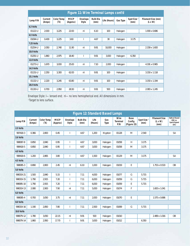| <b>Figure 11: Wire Terminal Lamps cont'd</b><br><b>Color Temp</b><br><b>MSCP</b><br>Current<br><b>Bulb Dia</b><br>Spot Size <sup>1</sup><br>Envelope<br>Life (Hours)<br>Lamp P/N<br>Gas Type<br>(Amps)<br>(K)<br><b>Style</b><br>(mm)<br>(mm)<br>(Approx) | Filament Size (mm) |
|-----------------------------------------------------------------------------------------------------------------------------------------------------------------------------------------------------------------------------------------------------------|--------------------|
|                                                                                                                                                                                                                                                           |                    |
|                                                                                                                                                                                                                                                           | $(L \times W)$     |
| 6.3 Volts                                                                                                                                                                                                                                                 |                    |
| 2.000<br>22.00<br>$01122 - U$<br>3,225<br>6.10<br>100<br>Halogen<br>nl                                                                                                                                                                                    | 1.930 x 0.686      |
| 6.5 Volts                                                                                                                                                                                                                                                 |                    |
| 0.430<br>3,225<br>3.60<br>3.175<br>01094-U<br>4.67<br>30<br>Halogen                                                                                                                                                                                       |                    |
| 7.25 Volts                                                                                                                                                                                                                                                |                    |
| 2.050<br>2,740<br>11.90<br>9.91<br>10,000<br>Halogen<br>01254-U<br>nl                                                                                                                                                                                     | 2.159 x 1.600      |
| 10.0 Volts                                                                                                                                                                                                                                                |                    |
| 1.860<br>2,975<br>3,000<br>01291-U<br>18.40<br>9.91<br>Halogen<br>6.350                                                                                                                                                                                   |                    |
| 12.0 Volts                                                                                                                                                                                                                                                |                    |
| 1.670<br>3,000<br>25.00<br>7.10<br>$01273 - U$<br>2,000<br>Halogen<br>nl                                                                                                                                                                                  | 4.191 x 0.965      |
| 14.5 Volts                                                                                                                                                                                                                                                |                    |
| 2.250<br>62.00<br>$01131 - U$<br>3,300<br>9.91<br>100<br>Halogen<br>nl                                                                                                                                                                                    | 3.150 x 1.118      |
| 15.1 Volts                                                                                                                                                                                                                                                |                    |
| 2.220<br>$01132 - U$<br>3,245<br>63.80<br>nl<br>9.91<br>100<br>Halogen                                                                                                                                                                                    | 3.150 x 1.194      |
| 28.0 Volts                                                                                                                                                                                                                                                |                    |
| 0.700<br>01130-U<br>2.950<br>26.50<br>9.91<br>500<br>nl<br>Halogen                                                                                                                                                                                        | 2.083 x 1.245      |

Envelope Style: l—lensed end; nl—no lens hemispherical end. All dimensions in mm. <sup>1</sup>Target to lens surface.

| <b>Figure 12: Standard Based Lamps</b> |                   |                          |                         |                          |                         |                 |             |                                |                                      |                                |                                                |                                                                 |
|----------------------------------------|-------------------|--------------------------|-------------------------|--------------------------|-------------------------|-----------------|-------------|--------------------------------|--------------------------------------|--------------------------------|------------------------------------------------|-----------------------------------------------------------------|
| Lamp P/N                               | Current<br>(Amps) | <b>Color Temp</b><br>(Y) | <b>MSCP</b><br>(Approx) | Envelope<br><b>Style</b> | <b>Bulb Dia</b><br>(mm) | Life<br>(Hours) | Gas<br>Type | Wire<br><b>Terminal</b><br>P/N | <b>Base</b><br>Config<br>(Figure 23) | Spot Size <sup>1</sup><br>(mm) | <b>Filament Size</b><br>$(L \times W)$<br>(mm) | <b>Optical Based</b><br>(OB) vs.<br><b>Spot Aligned</b><br>(SA) |
| 2.5 Volts                              |                   |                          |                         |                          |                         |                 |             |                                |                                      |                                |                                                |                                                                 |
| 997418-3                               | 0.366             | 2,800                    | 0.45                    |                          | 4.67                    | 1,200           | Krypton     | 01128                          | M                                    | 2.540                          |                                                | <b>SA</b>                                                       |
| 2.6 Volts                              |                   |                          |                         |                          |                         |                 |             |                                |                                      |                                |                                                |                                                                 |
| 998087-8                               | 0.850             | 2,840                    | 0.95                    |                          | 4.67                    | 3,000           | Halogen     | 01058                          | H                                    | 3.175                          |                                                |                                                                 |
| 998418-5                               | 0.850             | 2,840                    | 0.95                    |                          | 4.67                    | 3,000           | Halogen     | 01058                          | M                                    | 3.175                          |                                                |                                                                 |
| 4.0 Volts                              |                   |                          |                         |                          |                         |                 |             |                                |                                      |                                |                                                |                                                                 |
| 998418-6                               | 1.200             | 2,865                    | 3.80                    |                          | 4.67                    | 1,500           | Halogen     | 01129                          | M                                    | 3.175                          |                                                | <b>SA</b>                                                       |
| 4.5 Volts                              |                   |                          |                         |                          |                         |                 |             |                                |                                      |                                |                                                |                                                                 |
| 998085-3                               | 0.890             | 2,800                    | 2.45                    | n <sub>l</sub>           | 6.10                    | 1,000           | Halogen     | 01019                          | E                                    |                                | 1.753 x 0.533                                  | <b>OB</b>                                                       |
| 5.0 Volts                              |                   |                          |                         |                          |                         |                 |             |                                |                                      |                                |                                                |                                                                 |
| 998319-21                              | 1.500             | 2,840                    | 5.15                    | I                        | 7.11                    | 4,000           | Halogen     | 01077                          | G                                    | 5.715                          |                                                |                                                                 |
| 998319-15                              | 1.790             | 2.915                    | 7.20                    |                          | 7.11                    | 6,000           | Halogen     | 01059                          | G                                    | 5.715                          |                                                |                                                                 |
| 998085-10                              | 1.790             | 2,915                    | 7.20                    | T                        | 7.11                    | 6,000           | Halogen     | 01059                          | Ε                                    | 5.715                          |                                                |                                                                 |
| 998319-13                              | 2.080             | 2,900                    | 7.90                    | nl                       | 7.11                    | 5,000           | Halogen     | 01074                          | F                                    |                                | 1.600 x 1.041                                  |                                                                 |
| 6.0 Volts                              |                   |                          |                         |                          |                         |                 |             |                                |                                      |                                |                                                |                                                                 |
| 998085-4                               | 0.700             | 3,050                    | 3.75                    | nl                       | 7.11                    | 2,000           | Halogen     | 01070                          | Ε                                    |                                | 1.575 x 0.686                                  |                                                                 |
| 8.0 Volts                              |                   |                          |                         |                          |                         |                 |             |                                |                                      |                                |                                                |                                                                 |
| 998319-16                              | 1.190             | 2,850                    | 7.80                    |                          | 7.11                    | 2,500           | Halogen     | 01069                          | G                                    | 5.715                          |                                                |                                                                 |
| 10.0 Volts                             |                   |                          |                         |                          |                         |                 |             |                                |                                      |                                |                                                |                                                                 |
| 998079-12                              | 1.780             | 3,050                    | 22.15                   | n                        | 9.91                    | 500             | Halogen     | 01010                          |                                      |                                | 2.489 x 1.016                                  | 0 <sub>B</sub>                                                  |
| 998079-14                              | 1.860             | 2,950                    | 17.70                   |                          | 9.91                    | 3,000           | Halogen     | 01012                          |                                      | 6.350                          |                                                |                                                                 |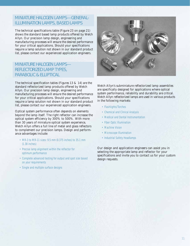# MINIATURE HALOGEN LAMPS—GENERAL-ILLUMINATION LAMPS / BASED LAMPS ILLUMINATION LAMPS, BASED LAMPS

The technical specifications table (Figure 23 on page 21) shows the standard based lamp products offered by Welch Allyn. Our precision lamp design, engineering and manufacturing processes will ensure the desired performance for your critical applications. Should your specifications require a lamp solution not shown in our standard product list, please contact our experienced application engineers.

# MINIATURE HALOGEN LAMPS— REFLECTORIZED LAMP TYPES, PARABOLIC & ELLIPTICAL

The technical specification tables (Figures 13 & 14) are the standard reflectorized lamp products offered by Welch Allyn. Our precision lamp design, engineering and manufacturing processes will ensure the desired performance for your critical applications. Should your specifications require a lamp solution not shown in our standard product list, please contact our experienced application engineers.

Optical system performance often depends on elements beyond the lamp itself. The right reflector can increase the optical system efficiency by 300% to 500%. With more than 30 years of miniature optical system experience, Welch Allyn offers a full line of metal and glass reflectors to complement our precision lamps. Design and performance advantages include:

- MR-3 to MR-11 sizes: 9.5 mm (0.375 inches) to 35.1 mm (1.38 inches)
- Precise lamp alignment within the reflector for optimum performance
- Complete advanced testing for output and spot size based on your requirements
- Single and multiple surface designs

![](_page_12_Picture_9.jpeg)

Welch Allyn's subminiature reflectorized lamp assemblies are specifically designed for applications where optical system performance, reliability and durability are critical. Welch Allyn reflectorized lamps are used in various products in the following markets:

- Flashlights/Torches
- Chemical and Clinical Analysis
- Medical and Dental Instrumentation
- Fiber Optic Illumination
- Machine Vision
- Microscope Illumination
- Industrial Safety Headlamps

Our design and application engineers can assist you in selecting the appropriate lamp and reflector for your specifications and invite you to contact us for your custom design requests.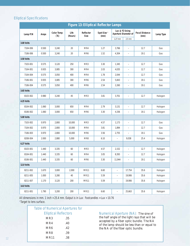## Elliptical Specifications

|                   |       |                          |                 |                          | <b>Figure 13: Elliptical Reflector Lamps</b> |                          |                             |                               |           |
|-------------------|-------|--------------------------|-----------------|--------------------------|----------------------------------------------|--------------------------|-----------------------------|-------------------------------|-----------|
| Lamp P/N          | Amps  | <b>Color Temp</b><br>(K) | Life<br>(Hours) | Reflector<br><b>Size</b> | Spot Size <sup>1</sup><br>(mm)               | Lux @ F2 Using           | <b>Aperture Diameter of</b> | <b>Focal Distance</b><br>(mm) | Lamp Type |
| <b>3.00 Volts</b> |       |                          |                 |                          |                                              | 1.27 mm                  | $2.5$ mm                    |                               |           |
|                   |       |                          |                 |                          |                                              |                          |                             |                               |           |
| 7104-006          | 0.500 | 3,240                    | 20              | MR4                      | 1.27                                         | 3,766                    | $\overline{\phantom{0}}$    | 12.7                          | Gas       |
| 7106-006          | 0.500 | 3,240                    | 20              | MR6                      | 1.52                                         | 4,304                    | $\overline{\phantom{0}}$    | 19.1                          | Gas       |
| 3.50 Volts        |       |                          |                 |                          |                                              |                          |                             |                               |           |
| 7103-001          | 0.575 | 3,120                    | 250             | MR3                      | 3.30                                         | 1,345                    | $\overline{\phantom{0}}$    | 12.7                          | Gas       |
| 7104-001          | 0.935 | 3,085                    | 300             | MR4                      | 2.03                                         | 4,035                    | -                           | 12.7                          | Gas       |
| 7104-004          | 0.575 | 3,050                    | 400             | MR4                      | 1.78                                         | 2,044                    | $\overline{\phantom{0}}$    | 12.7                          | Gas       |
| 7106-001          | 0.935 | 3,085                    | 300             | MR6                      | 2.54                                         | 5,843                    | $\qquad \qquad -$           | 19.1                          | Gas       |
| 7106-004          | 0.575 | 3,050                    | 400             | MR6                      | 2.54                                         | 2,260                    | $\overline{\phantom{0}}$    | 19.1                          | Gas       |
| 3.65 Volts        |       |                          |                 |                          |                                              |                          |                             |                               |           |
| 8103-002          | 0.980 | 3,240                    | 45              | MR3                      | 3.81                                         | 3,701                    | $\overline{\phantom{0}}$    | 12.7                          | Halogen   |
| 4.25 Volts        |       |                          |                 |                          |                                              |                          |                             |                               |           |
| 8104-002          | 1.060 | 3,000                    | 650             | MR4                      | 2.79                                         | 3,131                    | $\overline{\phantom{0}}$    | 12.7                          | Halogen   |
| 8106-002          | 1.060 | 3,000                    | 650             | MR6                      | 3.30                                         | 4,336                    | $\qquad \qquad -$           | 19.1                          | Halogen   |
| 5.00 Volts        |       |                          |                 |                          |                                              |                          |                             |                               |           |
| 7103-002          | 0.970 | 2,800                    | 10,000          | MR3                      | 4.57                                         | 1,173                    | $\overline{\phantom{0}}$    | 12.7                          | Gas       |
| 7104-002          | 0.970 | 2,800                    | 10,000          | MR4                      | 3.81                                         | 1,894                    | $\overline{\phantom{0}}$    | 12.7                          | Gas       |
| 7106-003          | 0.970 | 2,800                    | 10,000          | MR6                      | 3.56                                         | 2,755                    | $\overline{\phantom{0}}$    | 19.1                          | Gas       |
| 8208-004          | 2.000 | 2,880                    | 5,000           | MR8                      | 6.10                                         | $\equiv$                 | 9,038                       | 25.4                          | Halogen   |
| 6.27 Volts        |       |                          |                 |                          |                                              |                          |                             |                               |           |
| 8103-001          | 1.440 | 3,335                    | 60              | MR3                      | 4.57                                         | 2,152                    | $\overline{\phantom{0}}$    | 12.7                          | Halogen   |
| 8104-001          | 1.440 | 3,335                    | 60              | MR4                      | 3.05                                         | 8,393                    | $\overline{\phantom{0}}$    | 12.7                          | Halogen   |
| 8106-001          | 1.440 | 3,335                    | 60              | MR6                      | 3.30                                         | 11,944                   | $\overline{\phantom{0}}$    | 19.1                          | Halogen   |
| 12.0 Volts        |       |                          |                 |                          |                                              |                          |                             |                               |           |
| 8211-002          | 1.670 | 3,000                    | 2,000           | <b>MR11</b>              | 6.60                                         | $\qquad \qquad -$        | 17,754                      | 35.6                          | Halogen   |
| 8211-005          | 1.000 | 3,280                    | 40              | <b>MR11</b>              | 5.59                                         | $\overline{\phantom{a}}$ | 19,906                      | 35.6                          | Halogen   |
| 8211-007          | 1.170 | 3,120                    | 200             | MR11                     | 5.59                                         | $\overline{\phantom{a}}$ | 19,906                      | 35.6                          | Halogen   |
| 14.0 Volts        |       |                          |                 |                          |                                              |                          |                             |                               |           |
| 8211-001          | 1.790 | 3,200                    | 200             | <b>MR11</b>              | 6.60                                         | $\qquad \qquad -$        | 25,663                      | 35.6                          | Halogen   |

All dimensions in mm. 1 inch = 25.4 mm. Output is in Lux: Footcandles = Lux ÷ 10.76 <sup>1</sup>Target to lens surface.

| <b>Table of Numerical Apertures for</b> |                              |  |  |  |  |  |  |  |  |
|-----------------------------------------|------------------------------|--|--|--|--|--|--|--|--|
|                                         | <b>Elliptical Reflectors</b> |  |  |  |  |  |  |  |  |
| MR <sub>3</sub>                         | .35                          |  |  |  |  |  |  |  |  |
| MR4                                     | .40                          |  |  |  |  |  |  |  |  |
| MR <sub>6</sub>                         | .42                          |  |  |  |  |  |  |  |  |
| MR8                                     | .39                          |  |  |  |  |  |  |  |  |
| <b>MR11</b>                             | .38                          |  |  |  |  |  |  |  |  |

Numerical Aperture (NA): The sine of the half angle of the light rays that will be accepted by a fiber optic bundle. The NA of the lamp should be less than or equal to the NA of the fiber optic bundle.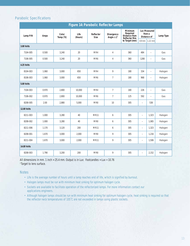## Parabolic Specifications

|                    | <b>Figure 14: Parabolic Reflector Lamps</b> |                   |                 |                          |                                     |                                                                     |                          |                                              |           |  |  |
|--------------------|---------------------------------------------|-------------------|-----------------|--------------------------|-------------------------------------|---------------------------------------------------------------------|--------------------------|----------------------------------------------|-----------|--|--|
| Lamp P/N           | Amps                                        | Color<br>Temp (K) | Life<br>(Hours) | Reflector<br><b>Size</b> | Divergence<br>Angle $\pm 2^{\circ}$ | <b>Minimum</b><br>Required<br>Distance from<br><b>Reflector Rim</b> |                          | <b>Lux Measured</b><br>from a<br>Distance of | Lamp Type |  |  |
|                    |                                             |                   |                 |                          |                                     | to Target (mm)                                                      | $0.9$ mm                 | $1.22$ mm                                    |           |  |  |
| <b>3.00 Volts</b>  |                                             |                   |                 |                          |                                     |                                                                     |                          |                                              |           |  |  |
| 7104-005           | 0.500                                       | 3,240             | 20              | MR4                      | $\overline{4}$                      | 360                                                                 | 484                      | $\equiv$                                     | Gas       |  |  |
| 7106-005           | 0.500                                       | 3,240             | 20              | MR <sub>6</sub>          | 4                                   | 360                                                                 | 1280                     | $\overline{\phantom{m}}$                     | Gas       |  |  |
| 4.25 Volts         |                                             |                   |                 |                          |                                     |                                                                     |                          |                                              |           |  |  |
| 8104-003           | 1.060                                       | 3,000             | 650             | MR4                      | 9                                   | 180                                                                 | 334                      | $\overline{\phantom{m}}$                     | Halogen   |  |  |
| 8106-003           | 1.060                                       | 3,000             | 650             | MR <sub>6</sub>          | $\overline{7}$                      | 180                                                                 | 968                      | $\overline{\phantom{m}}$                     | Halogen   |  |  |
| <b>5.00 Volts</b>  |                                             |                   |                 |                          |                                     |                                                                     |                          |                                              |           |  |  |
| 7104-003           | 0.970                                       | 2,800             | 10,000          | MR4                      | $\overline{7}$                      | 180                                                                 | 226                      | $\equiv$                                     | Gas       |  |  |
| 7106-002           | 0.970                                       | 2,800             | 10,000          | MR <sub>6</sub>          | $\overline{7}$                      | 125                                                                 | 592                      | $\overline{\phantom{a}}$                     | Gas       |  |  |
| 8208-005           | 2.00                                        | 2,880             | 5,000           | MR8                      | 10                                  | 305                                                                 | $\overline{\phantom{m}}$ | 538                                          |           |  |  |
| <b>12.00 Volts</b> |                                             |                   |                 |                          |                                     |                                                                     |                          |                                              |           |  |  |
| 8211-003           | 1.000                                       | 3,280             | 40              | <b>MR11</b>              | 6                                   | 305                                                                 | $\overline{\phantom{a}}$ | 1,323                                        | Halogen   |  |  |
| 8208-002           | 1.000                                       | 3,280             | 40              | MR8                      | 6                                   | 305                                                                 | $\overline{\phantom{m}}$ | 1,065                                        | Halogen   |  |  |
| 8211-006           | 1.170                                       | 3,120             | 200             | <b>MR11</b>              | 6                                   | 305                                                                 | $\overline{\phantom{m}}$ | 1,323                                        | Halogen   |  |  |
| 8208-001           | 1.670                                       | 3,000             | 2,000           | MR8                      | 9                                   | 305                                                                 | $\overline{\phantom{m}}$ | 1,216                                        | Halogen   |  |  |
| 8211-004           | 1.670                                       | 3,000             | 2,000           | <b>MR11</b>              | 9                                   | 305                                                                 | $\overline{\phantom{a}}$ | 1,506                                        | Halogen   |  |  |
| <b>14.00 Volts</b> |                                             |                   |                 |                          |                                     |                                                                     |                          |                                              |           |  |  |
| 8208-003           | 1.790                                       | 3,200             | 200             | MR8                      | 9                                   | 305                                                                 | $\overline{\phantom{m}}$ | 2,152                                        | Halogen   |  |  |

All dimensions in mm. 1 inch = 25.4 mm. Output is in Lux: Footcandles = Lux ÷ 10.76 <sup>1</sup> Target to lens surface.

#### **Notes**

- Life is the average number of hours until a lamp reaches end of life, which is signified by burnout.
- Halogen lamps must be run with minimum heat sinking for optimum halogen cycle.
- Sockets are available to facilitate operation of the reflectorized lamps. For more information contact our applications engineers.
- Although halogen lamps should be run with minimum heat sinking for optimum halogen cycle, heat sinking is required so that the reflector neck temperatures of 105˚C are not exceeded in lamps using plastic sockets.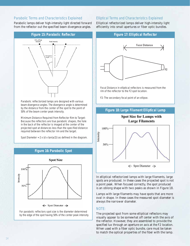#### Parabolic Terms and Characteristics Explained

Parabolic lamps deliver high-intensity light directed forward from the reflector out the specified beam divergence angles.

![](_page_15_Figure_2.jpeg)

Parabolic reflectorized lamps are designed with various beam divergence angles. The divergence angle is determined by the distance from the center of the spot to the point of 50% of the beam center peak intensity.

Minimum Distance Required from Reflector Rim to Target: Because the reflectors are true parabolic shapes, the hole in the back of the reflector is imaged at the center of the projected spot at distances less than the specified distance required between the reflector rim and the target.

Spot Diameter =  $2 \times (d \times \tan(a/2))$  as defined in the diagram.

![](_page_15_Figure_6.jpeg)

For parabolic reflectors spot size is the diameter determined by the edge of the spot having 50% of the center peak intensity.

#### Elliptical Terms and Characteristics Explained

Elliptical reflectorized lamps deliver high-intensity light efficiently into small apertures or fiber optic bundles.

![](_page_15_Figure_10.jpeg)

Focal Distance in elliptical reflectors is measured from the rim of the reflector to the F2 spot location.

F2: The secondary focal point of an ellipse.

![](_page_15_Figure_13.jpeg)

In elliptical reflectorized lamps with large filaments, large spots are produced. In these cases the projected spot is not a point peak. When focused correctly, the spot produced is an oblong shape with two peaks as shown in Figure 18.

Lamps with large filaments may have spots that are more oval in shape. In these cases the measured spot diameter is always the narrower diameter.

#### NOTE:

*The projected spot from some elliptical reflectors may visually appear to be somewhat off center with the axis of the reflector. However, they are assembled to provide the specified lux through an aperture on axis at the F2 location. When used with a fiber optic bundle, care must be taken to match the optical properties of the fiber with the lamp.*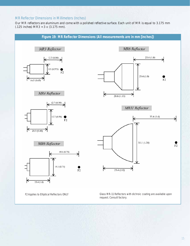## MR Reflector Dimensions in Millimeters (Inches)

Our MR reflectors are aluminum and come with a polished reflective surface. Each unit of MR is equal to 3.175 mm (.125 inches) MR3 = 3 x (3.175 mm).

![](_page_16_Figure_2.jpeg)

F2 Applies to Elliptical Reflectors ONLY Glass MR-11 Reflectors with dichroic coating are available upon request. Consult factory.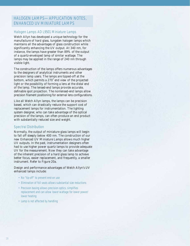## HALOGEN LAMPS-APPLICATION NOTES, ENHANCED UV MINIATURE LAMPS ENHANCED UV MINIATURE LAMPS

#### Halogen Lamps AD L9501 Miniature Lamps

Welch Allyn has developed a unique technology for the manufacture of hard glass, tungsten halogen lamps which maintains all the advantages of glass construction while significantly enhancing the UV output. At 340 nm, for instance, the lamps have greater than 89% of the output of a quartz-enveloped lamp of similar wattage. The lamps may be applied in the range of 240 nm through visible light.

The construction of the lamps offers numerous advantages to the designers of analytical instruments and other precision lamp users. The lamps are tipped-off at the bottom, which permits a 270˚ end view of the projected light or the possibility of forming a lens at the distal end of the lamp. The lensed-end lamps provide accurate, definable spot projection. The nonlensed-end lamps allow precision filament positioning for external lens configurations.

Like all Welch Allyn lamps, the lamps can be precision based, which can drastically reduce the support cost of replacement lamps for instrumentation. The lighting system designer, who can take advantage of the optical precision of the lamps, can often produce an end product with substantially reduced size and weight.

#### Spectral Distribution

Normally, the output of miniature glass lamps will begin to fall off steeply below 400 nm. The construction of our new Enhanced UV Miniature Lamps allows much higher UV outputs. In the past, instrumentation designers often had to use higher power quartz lamps to provide adequate UV for the measurement. Now they can take advantage of the inherent precision of a hard glass lamp to achieve better focus, easier replacement, and frequently, a smaller instrument. Refer to Figure 20a.

#### Design and performance advantages of Welch Allyn's UV enhanced lamps include:

- No "tip-off" to prevent end-on use
- Elimination of foil seals allows substantial size reductions
- Precision basing allows precision optics, simplifies replacement and can allow lower wattage for lower power/ lower heating
- Lamp is not affected by handling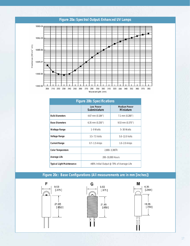## **Figure 20a: Spectral Output: Enhanced UV Lamps**

![](_page_18_Figure_1.jpeg)

|                                  | <b>Figure 20b: Specifications</b> |                                           |
|----------------------------------|-----------------------------------|-------------------------------------------|
|                                  | <b>Low Power</b><br>Subminiature  | <b>Medium Power</b><br><b>Miniature</b>   |
| <b>Bulb Diameters</b>            | $4.67$ mm $(0.184")$              | $7.1$ mm $(0.280")$                       |
| <b>Base Diameters</b>            | $6.35$ mm $(0.250")$              | $9.53$ mm $(0.375")$                      |
| <b>Wattage Range</b>             | 1–9 Watts                         | $5-30$ Watts                              |
| <b>Voltage Range</b>             | $3.5 - 7.5$ Volts                 | 5.0-12.0 Volts                            |
| <b>Current Range</b>             | $0.7 - 1.5$ Amps                  | $1.0 - 2.0$ Amps                          |
| <b>Color Temperature</b>         |                                   | 2,800-3,300°K                             |
| <b>Average Life</b>              |                                   | 200-10,000 Hours                          |
| <b>Typical Light Maintenance</b> |                                   | >80% Initial Output @ 70% of Average Life |

## **Figure 20c: Base Configurations (All measurements are in mm [inches])**

![](_page_18_Figure_4.jpeg)

![](_page_18_Figure_5.jpeg)

![](_page_18_Figure_6.jpeg)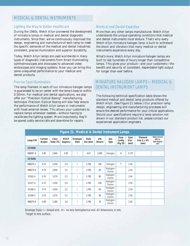## MEDICAL & DENTAL INSTRUMENTS MEDICAL & DENTAL INSTRUMENTS

#### Lighting the Way to Better Healthcare

During the 1960s, Welch Allyn pioneered the development of miniature lamps in medical and dental diagnostic instruments. Since then, we've continuously improved the design, engineering and manufacture of each lamp to meet the specific demands of the medical and dental industries: consistent, precise illumination and superior durability.

Today, Welch Allyn lamps are used worldwide in many types of diagnostic instruments from direct-illuminating ophthalmoscopes and otoscopes to advanced video endoscopes and imaging systems. Now you can bring this same unequalled performance to your medical and dental products.

#### Precise Spot Illumination

The lamp filament in each of our miniature halogen lamps is guaranteed to be on center with the lamp's base to within 0.50mm. For medical and dental applications, we also offer our "Precision Optical Basing" manufacturing technique. Precision Optical Basing will also help ensure the performance of Welch Allyn lamps in instruments with fixed external lenses. This allows your customers to replace lamps whenever needed—without having to recalibrate the lighting system. More importantly, they'll be spared costly service calls and downtime for repairs.

#### Medical and Dental Expertise

More than any other lamps manufacturer, Welch Allyn understands the unique operating conditions that medical and dental instruments must endure. That's why every Welch Allyn miniature halogen lamp is built to withstand the shock and vibration that many medical or dental instruments experience every day.

What's more, Welch Allyn miniature halogen lamps are built to last hundreds of hours longer than competitive lamps. This gives your product—and your customers—the benefit and security of consistent, dependable light output for longer than ever before.

# MINIATURE HALOGEN LAMPS—MEDICAL & DENTAL INSTRUMENT LAMPS DENTAL INSTRUMENT LAMPS

The following technical specification table shows the standard medical and dental lamp products offered by Welch Allyn. (See Figure 21 below.) Our precision lamp design, engineering and manufacturing processes will ensure the desired performance for your critical applications. Should your specifications require a lamp solution not shown in our standard product list, please contact our experienced application engineers.

|           | Figure 21: Medical & Dental Instrument Lamps |                    |                         |                          |                         |                 |                   |                            |                                   |                                         |                                                                 |  |
|-----------|----------------------------------------------|--------------------|-------------------------|--------------------------|-------------------------|-----------------|-------------------|----------------------------|-----------------------------------|-----------------------------------------|-----------------------------------------------------------------|--|
| Lamp P/N  | Current<br>(Amps)                            | Color<br>Temp (°K) | <b>MSCP</b><br>(Approx) | Envelope<br><b>Style</b> | <b>Bulb</b><br>Dia (mm) | Life<br>(Hours) | Gas<br>Type       | Base<br>Config<br>(Fig 23) | Spot<br>Size <sup>1</sup><br>(mm) | <b>Filament</b><br>Size (L x W)<br>(mm) | <b>Optical Based</b><br>(OB) vs.<br><b>Spot Aligned</b><br>(SA) |  |
| 2.6 Volts |                                              |                    |                         |                          |                         |                 |                   |                            |                                   |                                         |                                                                 |  |
| 998087-8  | 0.85                                         | 2,840              | 0.95                    |                          | 4.67                    | 3,000           | Halogen           | H                          | 3.175                             |                                         |                                                                 |  |
| 3.5 Volts |                                              |                    |                         |                          |                         |                 |                   |                            |                                   |                                         |                                                                 |  |
| 998070-1  | 0.72                                         | 3.250              | 2.9                     |                          | 3.785                   | 100             | Halogen           | T                          | 2.54                              |                                         |                                                                 |  |
| 998070-8  | 0.74                                         | 3,050              | 3.2                     |                          | 3.785                   | 60              | Halogen-<br>Xenon |                            | 2.54                              |                                         |                                                                 |  |
| 01302-U   | 0.74                                         | 3,270              | 3.2                     |                          | 3.785                   | 80              | Halogen-<br>Xenon |                            | 2.54                              |                                         |                                                                 |  |
| 01227-U   | 0.72                                         | 3,250              | 2.9                     |                          | 3.785                   | 100             | Halogen-<br>Xenon |                            | 2.54                              |                                         |                                                                 |  |
| 01346-U   | 0.74                                         | 3,050              | 3.2                     |                          | 3.785                   | 60              | Halogen-<br>Xenon |                            | 2.54                              |                                         |                                                                 |  |
| 01348-U   | 0.74                                         | 3,270              | 3.2                     |                          | 3.785                   | 60              | Halogen-<br>Xenon |                            | 2.54                              |                                         |                                                                 |  |
| 998070-6  | 0.69                                         | 3,280              | 2.8                     |                          | 3.785                   | 35              | Halogen-<br>Xenon |                            | 2.54                              |                                         |                                                                 |  |

Envelope Style: l—lensed end; nl—no lens hemispherical end. All dimensions in mm.

<sup>1</sup> Target to lens surface.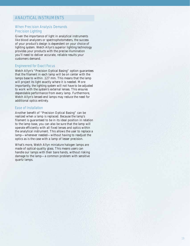## ANALYTICAL INSTRUMENTS ANALYTICAL INSTRUMENTS

#### When Precision Analysis Demands Precision Lighting

Given the importance of light in analytical instruments like blood analyzers or spectrophotometers, the success of your product's design is dependent on your choice of lighting system. Welch Allyn's superior lighting technology provides your products with the precise illumination you'll need to deliver accurate, reliable results your customers demand.

#### Engineered for Exact Focus

Welch Allyn's "Precision Optical Basing" option guarantees that the filament in each lamp will be on center with the lamps base to within .127 mm. This means that the lamp will project its light exactly where it is needed. More importantly, the lighting system will not have to be adjusted to work with the system's external lenses. This ensures dependable performance from every lamp. Furthermore, Welch Allyn's lensed-end lamps may reduce the need for additional optics entirely.

#### Ease of Installation

Another benefit of "Precision Optical Basing" can be realized when a lamp is replaced. Because the lamp's filament is guaranteed to be in its ideal position in relation to the lamp base, you can also be sure that the lamp will operate efficiently with all fixed lenses and optics within the analytical instrument. This allows the user to replace a lamp—whenever needed—without having to readjust the optics as is the case with a lamp of lesser precision.

What's more, Welch Allyn miniature halogen lamps are made of optical-quality glass. This means users can handle our lamps with their bare hands, without risking damage to the lamp—a common problem with sensitive quartz lamps.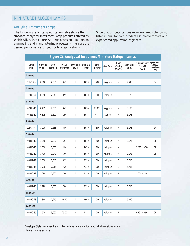#### Analytical Instrument Lamps

The following technical specification table shows the standard analytical instrument lamp products offered by Welch Allyn. (See Figure 22.) Our precision lamp design, engineering and manufacturing processes will ensure the desired performance for your critical applications.

Should your specifications require a lamp solution not listed in our standard product list, please contact our experienced application engineers.

|             |                   |                    |                         |                                |                         |                 | Figure 22: Analytical Instrument Miniature Halogen Lamps |                                   |                                |                                                |                                                                 |
|-------------|-------------------|--------------------|-------------------------|--------------------------------|-------------------------|-----------------|----------------------------------------------------------|-----------------------------------|--------------------------------|------------------------------------------------|-----------------------------------------------------------------|
| Lamp<br>P/N | Current<br>(Amps) | Color<br>Temp (°K) | <b>MSCP</b><br>(Approx) | Envelope<br><b>Style</b>       | <b>Bulb Dia</b><br>(mm) | Life<br>(Hours) | Gas Type                                                 | <b>Base</b><br>Config<br>(Fig 23) | Spot Size <sup>1</sup><br>(mm) | <b>Filament Size</b><br>$(L \times W)$<br>(mm) | <b>Optical Based</b><br>(OB) vs.<br><b>Spot Aligned</b><br>(SA) |
| 2.5 Volts   |                   |                    |                         |                                |                         |                 |                                                          |                                   |                                |                                                |                                                                 |
| 997418-3    | 0.366             | 2,800              | 0.45                    | $\vert$                        | 4.670                   | 1,200           | Krypton                                                  | M                                 | 2.540                          |                                                | SA                                                              |
| 2.6 Volts   |                   |                    |                         |                                |                         |                 |                                                          |                                   |                                |                                                |                                                                 |
| 998087-8    | 0.850             | 2,840              | 0.95                    | $\overline{1}$                 | 4.670                   | 3,000           | Halogen                                                  | Н                                 | 3.175                          |                                                |                                                                 |
| 3.5 Volts   |                   |                    |                         |                                |                         |                 |                                                          |                                   |                                |                                                |                                                                 |
| 997418-16   | 0.435             | 2,330              | 0.47                    | $\vert$                        | 4.674                   | 10,000          | Krypton                                                  | M                                 | 3.175                          |                                                |                                                                 |
| 997418-19   | 0.575             | 3,120              | 1.90                    | $\overline{\phantom{a}}$       | 4.674                   | 475             | Xenon                                                    | M                                 | 3.175                          |                                                |                                                                 |
| 4.0 Volts   |                   |                    |                         |                                |                         |                 |                                                          |                                   |                                |                                                |                                                                 |
| 998418-6    | 1.200             | 2,865              | 3.80                    | $\vert$                        | 4.670                   | 1,500           | Halogen                                                  | M                                 | 3.175                          |                                                | SA                                                              |
| 5.0 Volts   |                   |                    |                         |                                |                         |                 |                                                          |                                   |                                |                                                |                                                                 |
| 998418-12   | 1.350             | 2,800              | 5.97                    | $\overline{1}$                 | 4.670                   | 1,500           | Halogen                                                  | M                                 | 3.175                          |                                                | <b>OB</b>                                                       |
| 998418-13   | 1.000             | 3,050              | 4.90                    | n <sub>l</sub>                 | 4.670                   | 1,200           | Halogen                                                  | M                                 |                                | 1.473 x 0.584                                  | 0B                                                              |
| 997418-18   | 1.400             | 2,840              | 6.00                    | $\vert$                        | 4.670                   | 1,500           | Krypton                                                  | M                                 | 3.175                          |                                                | 0B                                                              |
| 998319-21   | 1.500             | 2,840              | 5.15                    | $\mathsf I$                    | 7.110                   | 5,000           | Halogen                                                  | G                                 | 5.715                          |                                                |                                                                 |
| 998319-15   | 1.790             | 2,915              | 7.20                    | $\vert$                        | 7.110                   | 6,000           | Halogen                                                  | G                                 | 5.715                          |                                                |                                                                 |
| 998319-13   | 2.080             | 2,900              | 7.90                    | $\mathsf I$                    | 7.110                   | 5,000           | Halogen                                                  | F                                 |                                | 1.600 x 1.041                                  |                                                                 |
| 8.0 Volts   |                   |                    |                         |                                |                         |                 |                                                          |                                   |                                |                                                |                                                                 |
| 998319-16   | 1.190             | 2,850              | 7.80                    | $\begin{array}{c} \end{array}$ | 7.110                   | 2,500           | Halogen                                                  | G                                 | 5.715                          |                                                |                                                                 |
| 10.0 Volts  |                   |                    |                         |                                |                         |                 |                                                          |                                   |                                |                                                |                                                                 |
| 998079-28   | 1.860             | 2,975              | 18.40                   | $\vert$                        | 9.906                   | 3,000           | Halogen                                                  |                                   | 6.350                          |                                                |                                                                 |
| 12.0 Volts  |                   |                    |                         |                                |                         |                 |                                                          |                                   |                                |                                                |                                                                 |
| 998319-35   | 1.670             | 3,000              | 25.00                   | nl                             | 7.112                   | 2,000           | Halogen                                                  | F                                 |                                | 4.191 x 0.965                                  | OB                                                              |

Envelope Style: l—lensed end; nl—no lens hemispherical end. All dimensions in mm. 1 Target to lens surface.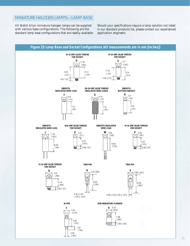# MINIATURE HALOGEN LAMPS—LAMP BASE

All Welch Allyn miniature halogen lamps can be supplied with various base configurations. The following are the standard lamp base configurations that are readily available.

Should your specifications require a lamp solution not listed in our standard products list, please contact our experienced application engineers.

![](_page_22_Figure_3.jpeg)